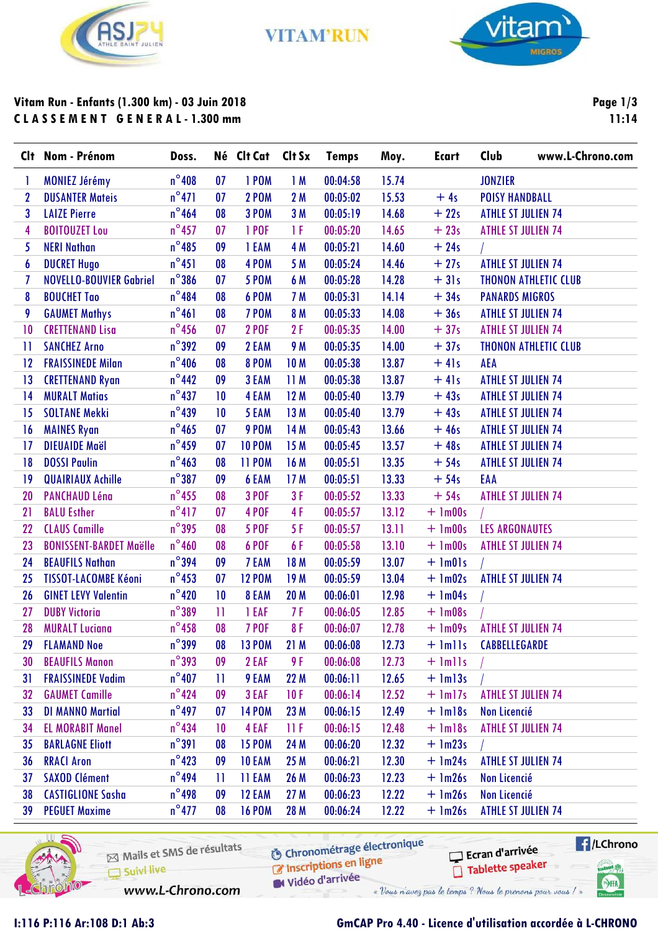

**VITAM'RUN** 



# Vitam Run - Enfants (1.300 km) - 03 Juin 2018 **CLASSEMENT GENERAL-1.300 mm**

Page  $1/3$  $11:14$ 

|              | Clt Nom - Prénom               | Doss.           |    | Né Clt Cat Clt Sx |                 | <b>Temps</b> | Moy.  | <b>Ecart</b>  | Club<br>www.L-Chrono.com    |
|--------------|--------------------------------|-----------------|----|-------------------|-----------------|--------------|-------|---------------|-----------------------------|
| ı            | <b>MONIEZ Jérémy</b>           | $n^{\circ}408$  | 07 | 1POM              | 1M              | 00:04:58     | 15.74 |               | <b>JONZIER</b>              |
| $\mathbf{2}$ | <b>DUSANTER Mateis</b>         | $n^{\circ}471$  | 07 | <b>2 POM</b>      | 2M              | 00:05:02     | 15.53 | $+4s$         | <b>POISY HANDBALL</b>       |
| 3            | <b>LAIZE Pierre</b>            | $n^{\circ}$ 464 | 08 | <b>3 POM</b>      | 3 M             | 00:05:19     | 14.68 | $+22s$        | <b>ATHLE ST JULIEN 74</b>   |
| 4            | <b>BOITOUZET Lou</b>           | $n^{\circ}$ 457 | 07 | 1 POF             | 1 F             | 00:05:20     | 14.65 | $+23s$        | <b>ATHLE ST JULIEN 74</b>   |
| 5            | <b>NERI Nathan</b>             | $n^{\circ}485$  | 09 | 1 EAM             | 4 M             | 00:05:21     | 14.60 | $+24s$        |                             |
| 6            | <b>DUCRET Hugo</b>             | $n^{\circ}451$  | 08 | 4POM              | 5 M             | 00:05:24     | 14.46 | $+27s$        | <b>ATHLE ST JULIEN 74</b>   |
| 7            | <b>NOVELLO-BOUVIER Gabriel</b> | $n^{\circ}$ 386 | 07 | <b>5 POM</b>      | 6 M             | 00:05:28     | 14.28 | $+31s$        | <b>THONON ATHLETIC CLUB</b> |
| 8            | <b>BOUCHET Tao</b>             | $n^{\circ}484$  | 08 | 6 POM             | 7 M             | 00:05:31     | 14.14 | $+34s$        | <b>PANARDS MIGROS</b>       |
| 9            | <b>GAUMET Mathys</b>           | $n^{\circ}461$  | 08 | 7 POM             | 8 M             | 00:05:33     | 14.08 | $+36s$        | <b>ATHLE ST JULIEN 74</b>   |
| 10           | <b>CRETTENAND Lisa</b>         | $n^{\circ}$ 456 | 07 | <b>2 POF</b>      | 2F              | 00:05:35     | 14.00 | $+37s$        | <b>ATHLE ST JULIEN 74</b>   |
| Ħ            | <b>SANCHEZ Arno</b>            | $n^{\circ}392$  | 09 | 2 EAM             | <b>9 M</b>      | 00:05:35     | 14.00 | $+37s$        | <b>THONON ATHLETIC CLUB</b> |
| 12           | <b>FRAISSINEDE Milan</b>       | $n^{\circ}$ 406 | 08 | <b>8 POM</b>      | 10 <sub>M</sub> | 00:05:38     | 13.87 | $+41s$        | AEA                         |
| 13           | <b>CRETTENAND Ryan</b>         | $n^{\circ}$ 442 | 09 | 3 EAM             | 11 M            | 00:05:38     | 13.87 | $+41s$        | <b>ATHLE ST JULIEN 74</b>   |
| 14           | <b>MURALT Matias</b>           | $n^{\circ}437$  | 10 | 4 EAM             | 12 M            | 00:05:40     | 13.79 | $+43s$        | <b>ATHLE ST JULIEN 74</b>   |
| 15           | <b>SOLTANE Mekki</b>           | $n^{\circ}439$  | 10 | 5 EAM             | 13M             | 00:05:40     | 13.79 | $+43s$        | <b>ATHLE ST JULIEN 74</b>   |
| 16           | <b>MAINES Ryan</b>             | $n^{\circ}$ 465 | 07 | 9POM              | 14 M            | 00:05:43     | 13.66 | $+46s$        | <b>ATHLE ST JULIEN 74</b>   |
| 17           | <b>DIEUAIDE Maël</b>           | $n^{\circ}$ 459 | 07 | <b>10 POM</b>     | 15 M            | 00:05:45     | 13.57 | $+48s$        | <b>ATHLE ST JULIEN 74</b>   |
| 18           | <b>DOSSI Paulin</b>            | $n^{\circ}$ 463 | 08 | <b>11 POM</b>     | 16 M            | 00:05:51     | 13.35 | $+54s$        | <b>ATHLE ST JULIEN 74</b>   |
| 19           | <b>QUAIRIAUX Achille</b>       | $n^{\circ}387$  | 09 | 6 EAM             | 17 <sub>M</sub> | 00:05:51     | 13.33 | $+54s$        | EAA                         |
| 20           | <b>PANCHAUD Léna</b>           | $n^{\circ}$ 455 | 08 | <b>3 POF</b>      | 3F              | 00:05:52     | 13.33 | $+54s$        | <b>ATHLE ST JULIEN 74</b>   |
| 21           | <b>BALU Esther</b>             | $n^{\circ}417$  | 07 | 4 POF             | 4F              | 00:05:57     | 13.12 | $+$ 1m00s     |                             |
| 22           | <b>CLAUS Camille</b>           | $n^{\circ}395$  | 08 | <b>5 POF</b>      | 5F              | 00:05:57     | 13.11 | $+$ 1m00s     | <b>LES ARGONAUTES</b>       |
| 23           | <b>BONISSENT-BARDET Maëlle</b> | $n^{\circ}460$  | 08 | 6 POF             | 6F              | 00:05:58     | 13.10 | $+$ 1m00s     | <b>ATHLE ST JULIEN 74</b>   |
| 24           | <b>BEAUFILS Nathan</b>         | $n^{\circ}$ 394 | 09 | 7 EAM             | 18 M            | 00:05:59     | 13.07 | $+$ 1m01s     |                             |
| 25           | <b>TISSOT-LACOMBE Kéoni</b>    | $n^{\circ}$ 453 | 07 | <b>12 POM</b>     | 19 <sub>M</sub> | 00:05:59     | 13.04 | $+$ 1m02s     | <b>ATHLE ST JULIEN 74</b>   |
| 26           | <b>GINET LEVY Valentin</b>     | $n^{\circ}420$  | 10 | 8 EAM             | 20 M            | 00:06:01     | 12.98 | $+$ 1m04s     |                             |
| 27           | <b>DUBY Victoria</b>           | $n^{\circ}$ 389 | Ħ  | 1 EAF             | 7F              | 00:06:05     | 12.85 | $+$ 1m08s     |                             |
| 28           | <b>MURALT Luciana</b>          | $n^{\circ}$ 458 | 08 | <b>7 POF</b>      | 8F              | 00:06:07     | 12.78 | $+$ 1m09s     | <b>ATHLE ST JULIEN 74</b>   |
| 29           | <b>FLAMAND Noe</b>             | $n^{\circ}$ 399 | 08 | <b>13 POM</b>     | 21M             | 00:06:08     | 12.73 | $+$ $lmlls$   | CABBELLEGARDE               |
| 30           | <b>BEAUFILS Manon</b>          | $n^{\circ}393$  | 09 | 2 EAF             | 9 F             | 00:06:08     | 12.73 | $+$ $lm$ $ls$ |                             |
| 31           | <b>FRAISSINEDE Vadim</b>       | $n^{\circ}407$  | H  | 9 EAM             | 22 M            | 00:06:11     | 12.65 | $+$ $lm13s$   |                             |
| 32           | <b>GAUMET Camille</b>          | $n^{\circ}$ 424 | 09 | 3 EAF             | 10F             | 00:06:14     | 12.52 | $+$ 1m17s     | <b>ATHLE ST JULIEN 74</b>   |
| 33           | <b>DI MANNO Martial</b>        | $n^{\circ}$ 497 | 07 | <b>14 POM</b>     | 23 M            | 00:06:15     | 12.49 | $+$ $lm18s$   | Non Licencié                |
| 34           | <b>EL MORABIT Manel</b>        | $n^{\circ}$ 434 | 10 | 4 EAF             | 11 F            | 00:06:15     | 12.48 | $+$ $lm18s$   | <b>ATHLE ST JULIEN 74</b>   |
| 35           | <b>BARLAGNE Eliott</b>         | $n^{\circ}391$  | 08 | <b>15 POM</b>     | 24 M            | 00:06:20     | 12.32 | $+$ 1m23s     |                             |
| 36           | <b>RRACI Aron</b>              | $n^{\circ}$ 423 | 09 | <b>10 EAM</b>     | 25 M            | 00:06:21     | 12.30 | $+$ 1m24s     | <b>ATHLE ST JULIEN 74</b>   |
| 37           | <b>SAXOD Clément</b>           | $n^{\circ}$ 494 | 11 | <b>11 EAM</b>     | 26 M            | 00:06:23     | 12.23 | $+$ $lm26s$   | Non Licencié                |
| 38           | <b>CASTIGLIONE Sasha</b>       | $n^{\circ}$ 498 | 09 | <b>12 EAM</b>     | 27 M            | 00:06:23     | 12.22 | $+$ $lm26s$   | Non Licencié                |
| 39           | <b>PEGUET Maxime</b>           | $n^{\circ}477$  | 08 | <b>16 POM</b>     | 28 M            | 00:06:24     | 12.22 | $+$ $lm26s$   | <b>ATHLE ST JULIEN 74</b>   |



Mails et SMS de résultats Suivi live

**6** Chronométrage électronique

 $\blacksquare$ /LChrono Ecran d'arrivée Tablette speaker

**Great** 

 $\bigcirc$ HA

www.L-Chrono.com

Inscriptions en ligne Vidéo d'arrivée « Vous n'avez pas le temps ? Nous le prenons pour vous ! »

1:116 P:116 Ar:108 D:1 Ab:3

### GmCAP Pro 4.40 - Licence d'utilisation accordée à L-CHRONO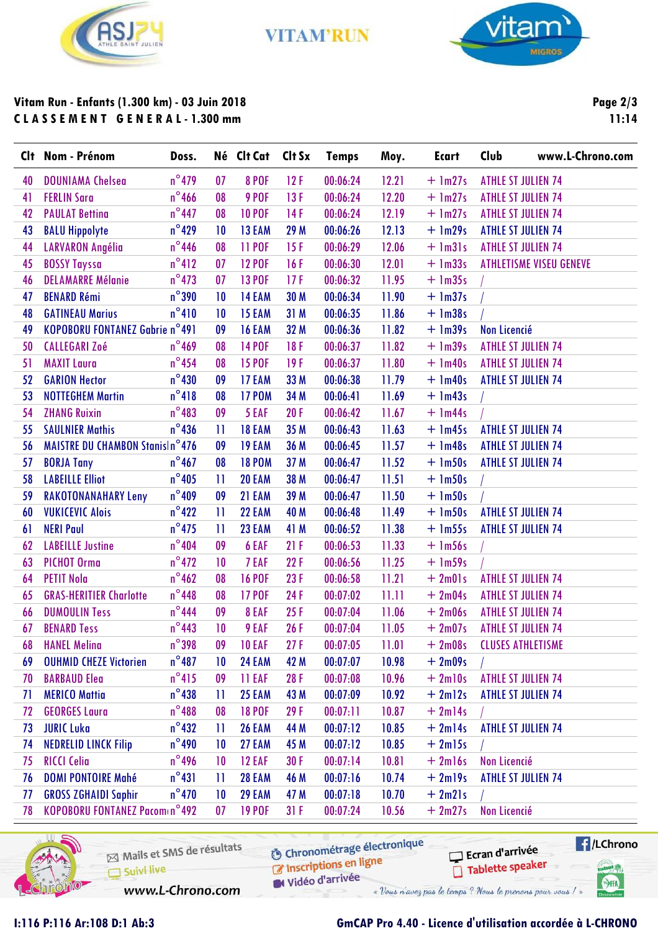

**VITAM'RUN** 



### Vitam Run - Enfants (1.300 km) - 03 Juin 2018 **CLASSEMENT GENERAL-1.300 mm**

Page 2/3  $11:14$ 

| Clt | Nom - Prénom                           | Doss.           |              | Né Clt Cat    | Clt Sx | <b>Temps</b> | Moy.  | <b>Ecart</b> | Club                      | www.L-Chrono.com               |
|-----|----------------------------------------|-----------------|--------------|---------------|--------|--------------|-------|--------------|---------------------------|--------------------------------|
| 40  | <b>DOUNIAMA Chelsea</b>                | $n^{\circ}$ 479 | 07           | <b>8 POF</b>  | 12F    | 00:06:24     | 12.21 | $+$ 1m27s    | <b>ATHLE ST JULIEN 74</b> |                                |
| 41  | <b>FERLIN Sara</b>                     | $n^{\circ}$ 466 | 08           | <b>9 POF</b>  | 13F    | 00:06:24     | 12.20 | $+$ 1m27s    | <b>ATHLE ST JULIEN 74</b> |                                |
| 42  | <b>PAULAT Betting</b>                  | $n^{\circ}$ 447 | 08           | <b>10 POF</b> | 14F    | 00:06:24     | 12.19 | $+$ 1m27s    | <b>ATHLE ST JULIEN 74</b> |                                |
| 43  | <b>BALU Hippolyte</b>                  | $n^{\circ}$ 429 | 10           | 13 EAM        | 29 M   | 00:06:26     | 12.13 | $+$ 1m29s    | <b>ATHLE ST JULIEN 74</b> |                                |
| 44  | <b>LARVARON Angélia</b>                | $n^{\circ}$ 446 | 08           | <b>11 POF</b> | 15F    | 00:06:29     | 12.06 | $+$ 1m31s    | <b>ATHLE ST JULIEN 74</b> |                                |
| 45  | <b>BOSSY Tayssa</b>                    | $n^{\circ}412$  | 07           | <b>12 POF</b> | 16F    | 00:06:30     | 12.01 | $+$ 1m33s    |                           | <b>ATHLETISME VISEU GENEVE</b> |
| 46  | <b>DELAMARRE Mélanie</b>               | $n^{\circ}$ 473 | 07           | <b>13 POF</b> | 17F    | 00:06:32     | 11.95 | $+$ 1m35s    |                           |                                |
| 47  | <b>BENARD Rémi</b>                     | $n^{\circ}$ 390 | 10           | 14 EAM        | 30 M   | 00:06:34     | 11.90 | $+$ 1m37s    |                           |                                |
| 48  | <b>GATINEAU Marius</b>                 | $n^{\circ}410$  | 10           | 15 EAM        | 31 M   | 00:06:35     | 11.86 | $+$ 1m38s    |                           |                                |
| 49  | <b>KOPOBORU FONTANEZ Gabrie n°491</b>  |                 | 09           | 16 EAM        | 32 M   | 00:06:36     | 11.82 | $+$ 1m39s    | <b>Non Licencié</b>       |                                |
| 50  | <b>CALLEGARI Zoé</b>                   | $n^{\circ}$ 469 | 08           | <b>14 POF</b> | 18F    | 00:06:37     | 11.82 | $+$ 1m39s    | <b>ATHLE ST JULIEN 74</b> |                                |
| 51  | <b>MAXIT Laura</b>                     | $n^{\circ}$ 454 | 08           | <b>15 POF</b> | 19F    | 00:06:37     | 11.80 | $+$ 1m40s    | <b>ATHLE ST JULIEN 74</b> |                                |
| 52  | <b>GARION Hector</b>                   | $n^{\circ}430$  | 09           | 17 EAM        | 33 M   | 00:06:38     | 11.79 | $+$ 1m40s    | <b>ATHLE ST JULIEN 74</b> |                                |
| 53  | <b>NOTTEGHEM Martin</b>                | $n^{\circ}418$  | 08           | <b>17 POM</b> | 34 M   | 00:06:41     | 11.69 | $+$ 1m43s    |                           |                                |
| 54  | <b>ZHANG Ruixin</b>                    | $n^{\circ}483$  | 09           | 5 EAF         | 20F    | 00:06:42     | 11.67 | $+$ 1m44s    |                           |                                |
| 55  | <b>SAULNIER Mathis</b>                 | $n^{\circ}$ 436 | $\mathbf{H}$ | <b>18 EAM</b> | 35 M   | 00:06:43     | 11.63 | $+$ 1m45s    | <b>ATHLE ST JULIEN 74</b> |                                |
| 56  | <b>MAISTRE DU CHAMBON Stanis n°476</b> |                 | 09           | <b>19 EAM</b> | 36 M   | 00:06:45     | 11.57 | $+$ 1m48s    | <b>ATHLE ST JULIEN 74</b> |                                |
| 57  | <b>BORJA Tany</b>                      | $n^{\circ}$ 467 | 08           | <b>18 POM</b> | 37 M   | 00:06:47     | 11.52 | $+$ 1m50s    | <b>ATHLE ST JULIEN 74</b> |                                |
| 58  | <b>LABEILLE Elliot</b>                 | $n^{\circ}$ 405 | $\mathbf{H}$ | 20 EAM        | 38 M   | 00:06:47     | 11.51 | $+$ 1m50s    |                           |                                |
| 59  | <b>RAKOTONANAHARY Leny</b>             | $n^{\circ}409$  | 09           | 21 EAM        | 39 M   | 00:06:47     | 11.50 | $+$ 1m50s    |                           |                                |
| 60  | <b>VUKICEVIC Alois</b>                 | $n^{\circ}422$  | $\mathbf{H}$ | 22 EAM        | 40 M   | 00:06:48     | 11.49 | $+$ 1m50s    | <b>ATHLE ST JULIEN 74</b> |                                |
| 61  | <b>NERI Paul</b>                       | $n^{\circ}$ 475 | $\mathbf{H}$ | 23 EAM        | 41 M   | 00:06:52     | 11.38 | $+$ 1m55s    | <b>ATHLE ST JULIEN 74</b> |                                |
| 62  | <b>LABEILLE Justine</b>                | $n^{\circ}$ 404 | 09           | 6 EAF         | 21F    | 00:06:53     | 11.33 | $+$ 1m56s    |                           |                                |
| 63  | PICHOT Orma                            | $n^{\circ}472$  | 10           | 7 EAF         | 22F    | 00:06:56     | 11.25 | $+$ 1m59s    |                           |                                |
| 64  | <b>PETIT Nola</b>                      | $n^{\circ}$ 462 | 08           | <b>16 POF</b> | 23F    | 00:06:58     | 11.21 | $+2m01s$     | <b>ATHLE ST JULIEN 74</b> |                                |
| 65  | <b>GRAS-HERITIER Charlotte</b>         | $n^{\circ}448$  | 08           | <b>17 POF</b> | 24F    | 00:07:02     | 11.11 | $+2m04s$     | <b>ATHLE ST JULIEN 74</b> |                                |
| 66  | <b>DUMOULIN Tess</b>                   | $n^{\circ}444$  | 09           | 8 EAF         | 25F    | 00:07:04     | 11.06 | $+2m06s$     | <b>ATHLE ST JULIEN 74</b> |                                |
| 67  | <b>BENARD Tess</b>                     | $n^{\circ}$ 443 | 10           | 9 EAF         | 26F    | 00:07:04     | 11.05 | $+2m07s$     | <b>ATHLE ST JULIEN 74</b> |                                |
| 68  | <b>HANEL Melina</b>                    | $n^{\circ}$ 398 | 09           | <b>10 EAF</b> | 27F    | 00:07:05     | 11.01 | $+2m08s$     | <b>CLUSES ATHLETISME</b>  |                                |
| 69  | <b>OUHMID CHEZE Victorien</b>          | $n^{\circ}487$  | 10           | 24 EAM        | 42 M   | 00:07:07     | 10.98 | $+2m09s$     |                           |                                |
| 70  | <b>BARBAUD Elea</b>                    | $n^{\circ}415$  | 09           | 11 EAF        | 28F    | 00:07:08     | 10.96 | $+2$ ml0s    | <b>ATHLE ST JULIEN 74</b> |                                |
| 71  | <b>MERICO Mattia</b>                   | $n^{\circ}438$  | 11           | 25 EAM        | 43 M   | 00:07:09     | 10.92 | $+2ml2s$     | <b>ATHLE ST JULIEN 74</b> |                                |
| 72  | <b>GEORGES Laura</b>                   | $n^{\circ}488$  | 08           | <b>18 POF</b> | 29F    | 00:07:11     | 10.87 | $+2m14s$     |                           |                                |
| 73  | <b>JURIC Luka</b>                      | $n^{\circ}432$  | П            | <b>26 EAM</b> | 44 M   | 00:07:12     | 10.85 | $+2ml4s$     | <b>ATHLE ST JULIEN 74</b> |                                |
| 74  | <b>NEDRELID LINCK Filip</b>            | $n^{\circ}$ 490 | 10           | 27 EAM        | 45 M   | 00:07:12     | 10.85 | $+2m15s$     |                           |                                |
| 75  | <b>RICCI Celia</b>                     | $n^{\circ}$ 496 | 10           | <b>12 EAF</b> | 30F    | 00:07:14     | 10.81 | $+2ml6s$     | Non Licencié              |                                |
| 76  | <b>DOMI PONTOIRE Mahé</b>              | $n^{\circ}431$  | П            | <b>28 EAM</b> | 46 M   | 00:07:16     | 10.74 | $+2$ ml9s    | <b>ATHLE ST JULIEN 74</b> |                                |
| 77  | <b>GROSS ZGHAIDI Saphir</b>            | $n^{\circ}470$  | 10           | <b>29 EAM</b> | 47 M   | 00:07:18     | 10.70 | $+2m21s$     |                           |                                |
| 78  | KOPOBORU FONTANEZ Pacom n°492          |                 | 07           | <b>19 POF</b> | 31 F   | 00:07:24     | 10.56 | $+2m27s$     | Non Licencié              |                                |
|     |                                        |                 |              |               |        |              |       |              |                           |                                |



Mails et SMS de résultats Suivi live

**6** Chronométrage électronique

 $\blacksquare$ /LChrono Ecran d'arrivée Tablette speaker **Great** 

 $\bigcirc$ HA

www.L-Chrono.com

« Vous n'avez pas le temps ? Nous le prenons pour vous ! »